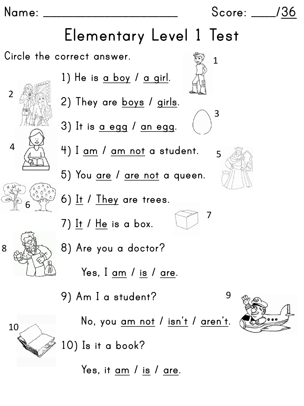**Name: \_\_\_\_\_\_\_\_\_\_\_\_\_\_\_\_\_\_\_\_\_\_ Score: \_\_\_\_/36**

1

3

7

## **Elementary Level 1 Test**

**Circle the correct answer.**





8

10



**Yes, it am / is / are.**



9

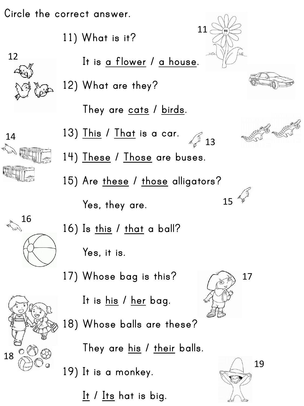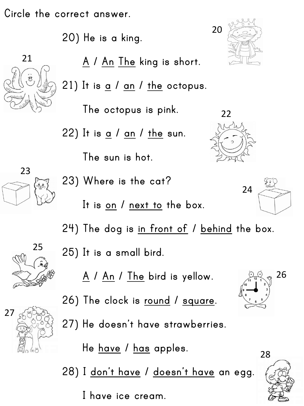**Circle the correct answer.**

**20) He is a king.**



23

**A \ An The king is short.**

**21) It is a / an / the octopus.**

**The octopus is pink.**

**22) It is a / an / the sun.**

**The sun is hot.**

**23) Where is the cat?**

**It is on / next to the box.**



20



**24) The dog is in front of / behind the box. 25) It is a small bird.** 



25

**A / An / The bird is yellow.**



**26) The clock is round / square.**

**27) He doesn't have strawberries.**

**He have / has apples.**

**28) I don't have / doesn't have an egg.**

**I have ice cream.**